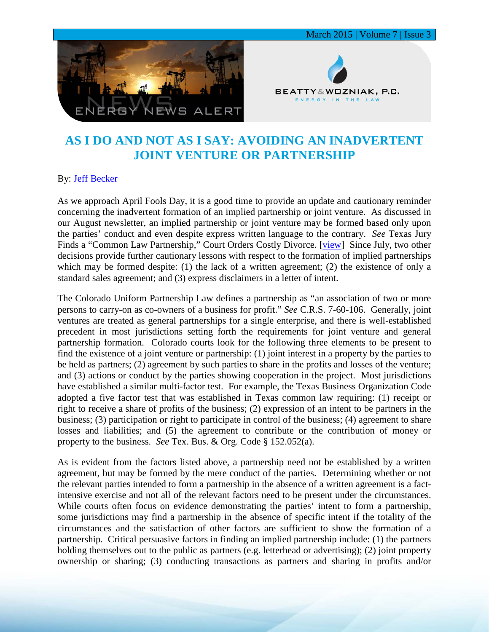



## **AS I DO AND NOT AS I SAY: AVOIDING AN INADVERTENT JOINT VENTURE OR PARTNERSHIP**

## By: [Jeff Becker](http://www.bwenergylaw.com/#!jeff-becker/crph)

As we approach April Fools Day, it is a good time to provide an update and cautionary reminder concerning the inadvertent formation of an implied partnership or joint venture. As discussed in our August newsletter, an implied partnership or joint venture may be formed based only upon the parties' conduct and even despite express written language to the contrary. *See* Texas Jury Finds a "Common Law Partnership," Court Orders Costly Divorce. [\[view\]](http://media.wix.com/ugd/2f2374_c253e335fc9b4dc39ede5922bd1a46d3.pdf) Since July, two other decisions provide further cautionary lessons with respect to the formation of implied partnerships which may be formed despite: (1) the lack of a written agreement; (2) the existence of only a standard sales agreement; and (3) express disclaimers in a letter of intent.

The Colorado Uniform Partnership Law defines a partnership as "an association of two or more persons to carry-on as co-owners of a business for profit." *See* C.R.S. 7-60-106. Generally, joint ventures are treated as general partnerships for a single enterprise, and there is well-established precedent in most jurisdictions setting forth the requirements for joint venture and general partnership formation. Colorado courts look for the following three elements to be present to find the existence of a joint venture or partnership: (1) joint interest in a property by the parties to be held as partners; (2) agreement by such parties to share in the profits and losses of the venture; and (3) actions or conduct by the parties showing cooperation in the project. Most jurisdictions have established a similar multi-factor test. For example, the Texas Business Organization Code adopted a five factor test that was established in Texas common law requiring: (1) receipt or right to receive a share of profits of the business; (2) expression of an intent to be partners in the business; (3) participation or right to participate in control of the business; (4) agreement to share losses and liabilities; and (5) the agreement to contribute or the contribution of money or property to the business. *See* Tex. Bus. & Org. Code § 152.052(a).

As is evident from the factors listed above, a partnership need not be established by a written agreement, but may be formed by the mere conduct of the parties. Determining whether or not the relevant parties intended to form a partnership in the absence of a written agreement is a factintensive exercise and not all of the relevant factors need to be present under the circumstances. While courts often focus on evidence demonstrating the parties' intent to form a partnership, some jurisdictions may find a partnership in the absence of specific intent if the totality of the circumstances and the satisfaction of other factors are sufficient to show the formation of a partnership. Critical persuasive factors in finding an implied partnership include: (1) the partners holding themselves out to the public as partners (e.g. letterhead or advertising); (2) joint property ownership or sharing; (3) conducting transactions as partners and sharing in profits and/or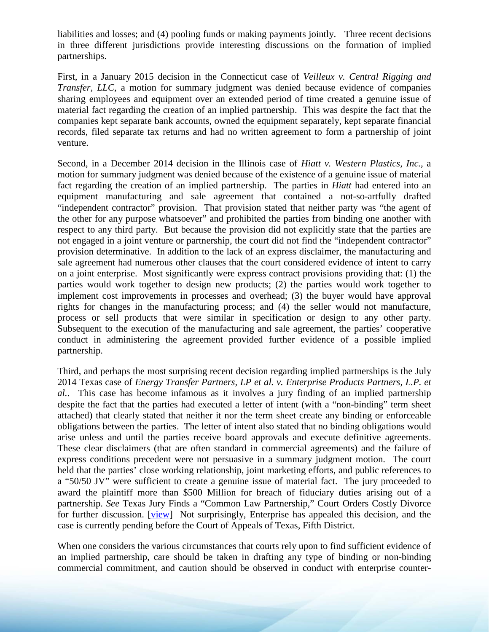liabilities and losses; and (4) pooling funds or making payments jointly. Three recent decisions in three different jurisdictions provide interesting discussions on the formation of implied partnerships.

First, in a January 2015 decision in the Connecticut case of *Veilleux v. Central Rigging and Transfer, LLC*, a motion for summary judgment was denied because evidence of companies sharing employees and equipment over an extended period of time created a genuine issue of material fact regarding the creation of an implied partnership. This was despite the fact that the companies kept separate bank accounts, owned the equipment separately, kept separate financial records, filed separate tax returns and had no written agreement to form a partnership of joint venture.

Second, in a December 2014 decision in the Illinois case of *Hiatt v. Western Plastics, Inc.,* a motion for summary judgment was denied because of the existence of a genuine issue of material fact regarding the creation of an implied partnership. The parties in *Hiatt* had entered into an equipment manufacturing and sale agreement that contained a not-so-artfully drafted "independent contractor" provision. That provision stated that neither party was "the agent of the other for any purpose whatsoever" and prohibited the parties from binding one another with respect to any third party. But because the provision did not explicitly state that the parties are not engaged in a joint venture or partnership, the court did not find the "independent contractor" provision determinative. In addition to the lack of an express disclaimer, the manufacturing and sale agreement had numerous other clauses that the court considered evidence of intent to carry on a joint enterprise. Most significantly were express contract provisions providing that: (1) the parties would work together to design new products; (2) the parties would work together to implement cost improvements in processes and overhead; (3) the buyer would have approval rights for changes in the manufacturing process; and (4) the seller would not manufacture, process or sell products that were similar in specification or design to any other party. Subsequent to the execution of the manufacturing and sale agreement, the parties' cooperative conduct in administering the agreement provided further evidence of a possible implied partnership.

Third, and perhaps the most surprising recent decision regarding implied partnerships is the July 2014 Texas case of *Energy Transfer Partners, LP et al. v. Enterprise Products Partners, L.P. et al.*. This case has become infamous as it involves a jury finding of an implied partnership despite the fact that the parties had executed a letter of intent (with a "non-binding" term sheet attached) that clearly stated that neither it nor the term sheet create any binding or enforceable obligations between the parties. The letter of intent also stated that no binding obligations would arise unless and until the parties receive board approvals and execute definitive agreements. These clear disclaimers (that are often standard in commercial agreements) and the failure of express conditions precedent were not persuasive in a summary judgment motion. The court held that the parties' close working relationship, joint marketing efforts, and public references to a "50/50 JV" were sufficient to create a genuine issue of material fact. The jury proceeded to award the plaintiff more than \$500 Million for breach of fiduciary duties arising out of a partnership. *See* Texas Jury Finds a "Common Law Partnership," Court Orders Costly Divorce for further discussion. [\[view\]](http://media.wix.com/ugd/2f2374_c253e335fc9b4dc39ede5922bd1a46d3.pdf) Not surprisingly, Enterprise has appealed this decision, and the case is currently pending before the Court of Appeals of Texas, Fifth District.

When one considers the various circumstances that courts rely upon to find sufficient evidence of an implied partnership, care should be taken in drafting any type of binding or non-binding commercial commitment, and caution should be observed in conduct with enterprise counter